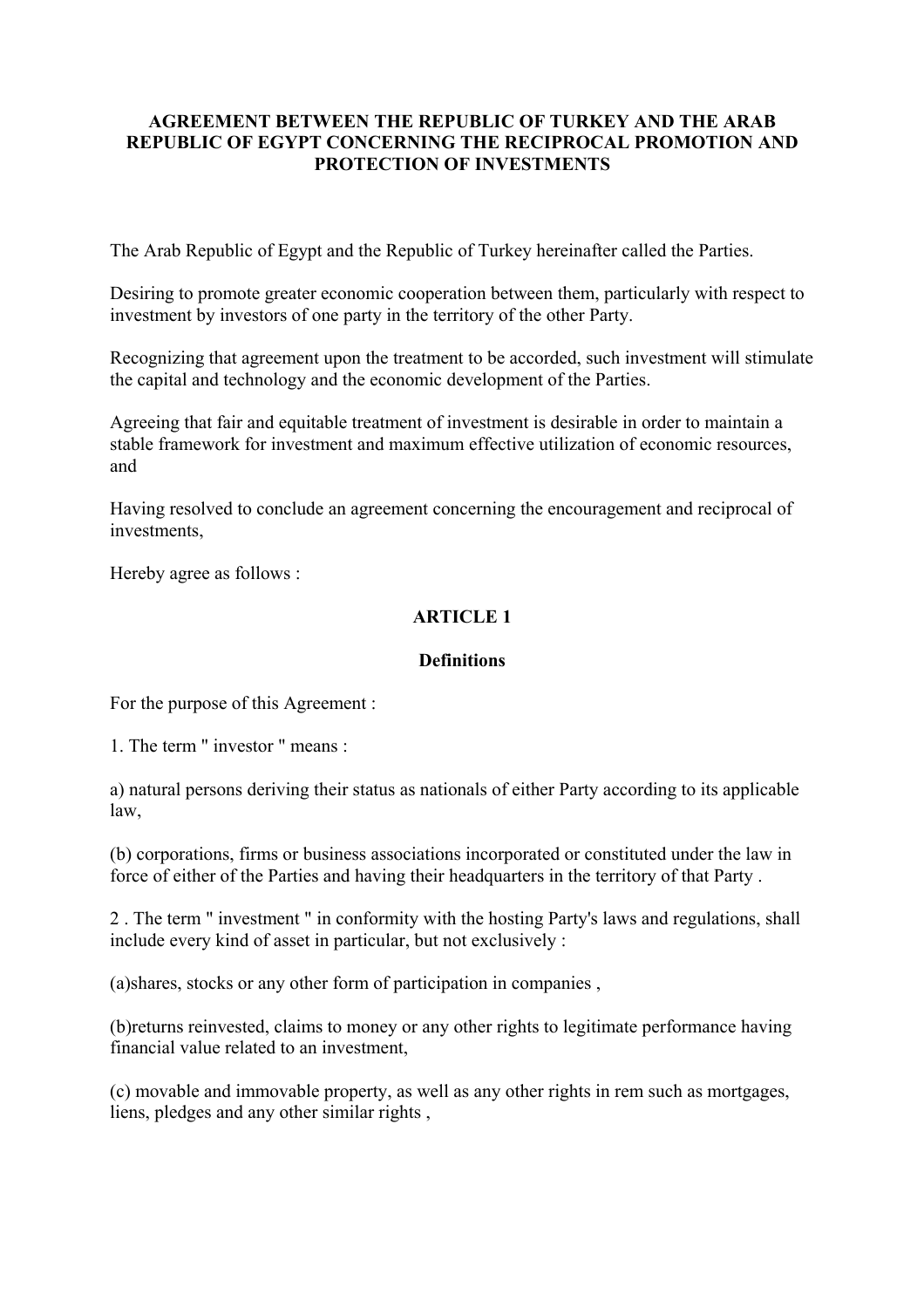#### **AGREEMENT BETWEEN THE REPUBLIC OF TURKEY AND THE ARAB REPUBLIC OF EGYPT CONCERNING THE RECIPROCAL PROMOTION AND PROTECTION OF INVESTMENTS**

The Arab Republic of Egypt and the Republic of Turkey hereinafter called the Parties.

Desiring to promote greater economic cooperation between them, particularly with respect to investment by investors of one party in the territory of the other Party.

Recognizing that agreement upon the treatment to be accorded, such investment will stimulate the capital and technology and the economic development of the Parties.

Agreeing that fair and equitable treatment of investment is desirable in order to maintain a stable framework for investment and maximum effective utilization of economic resources, and

Having resolved to conclude an agreement concerning the encouragement and reciprocal of investments,

Hereby agree as follows :

### **ARTICLE 1**

#### **Definitions**

For the purpose of this Agreement :

1. The term " investor " means :

a) natural persons deriving their status as nationals of either Party according to its applicable law,

(b) corporations, firms or business associations incorporated or constituted under the law in force of either of the Parties and having their headquarters in the territory of that Party .

2 . The term " investment " in conformity with the hosting Party's laws and regulations, shall include every kind of asset in particular, but not exclusively :

(a)shares, stocks or any other form of participation in companies ,

(b)returns reinvested, claims to money or any other rights to legitimate performance having financial value related to an investment,

(c) movable and immovable property, as well as any other rights in rem such as mortgages, liens, pledges and any other similar rights ,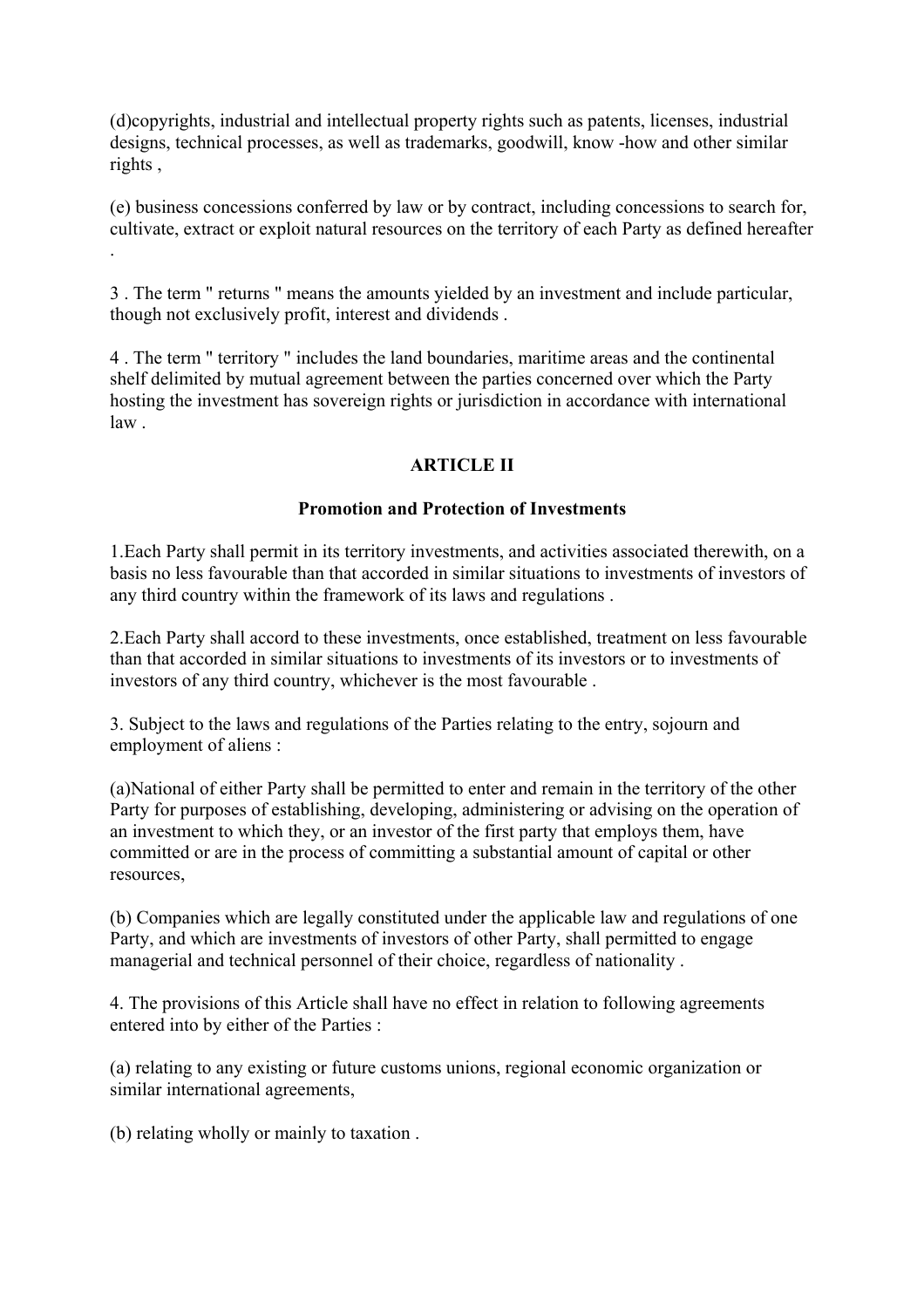(d)copyrights, industrial and intellectual property rights such as patents, licenses, industrial designs, technical processes, as well as trademarks, goodwill, know -how and other similar rights ,

(e) business concessions conferred by law or by contract, including concessions to search for, cultivate, extract or exploit natural resources on the territory of each Party as defined hereafter .

3 . The term " returns " means the amounts yielded by an investment and include particular, though not exclusively profit, interest and dividends .

4 . The term " territory " includes the land boundaries, maritime areas and the continental shelf delimited by mutual agreement between the parties concerned over which the Party hosting the investment has sovereign rights or jurisdiction in accordance with international law .

### **ARTICLE II**

#### **Promotion and Protection of Investments**

1.Each Party shall permit in its territory investments, and activities associated therewith, on a basis no less favourable than that accorded in similar situations to investments of investors of any third country within the framework of its laws and regulations .

2.Each Party shall accord to these investments, once established, treatment on less favourable than that accorded in similar situations to investments of its investors or to investments of investors of any third country, whichever is the most favourable .

3. Subject to the laws and regulations of the Parties relating to the entry, sojourn and employment of aliens :

(a)National of either Party shall be permitted to enter and remain in the territory of the other Party for purposes of establishing, developing, administering or advising on the operation of an investment to which they, or an investor of the first party that employs them, have committed or are in the process of committing a substantial amount of capital or other resources,

(b) Companies which are legally constituted under the applicable law and regulations of one Party, and which are investments of investors of other Party, shall permitted to engage managerial and technical personnel of their choice, regardless of nationality .

4. The provisions of this Article shall have no effect in relation to following agreements entered into by either of the Parties :

(a) relating to any existing or future customs unions, regional economic organization or similar international agreements,

(b) relating wholly or mainly to taxation .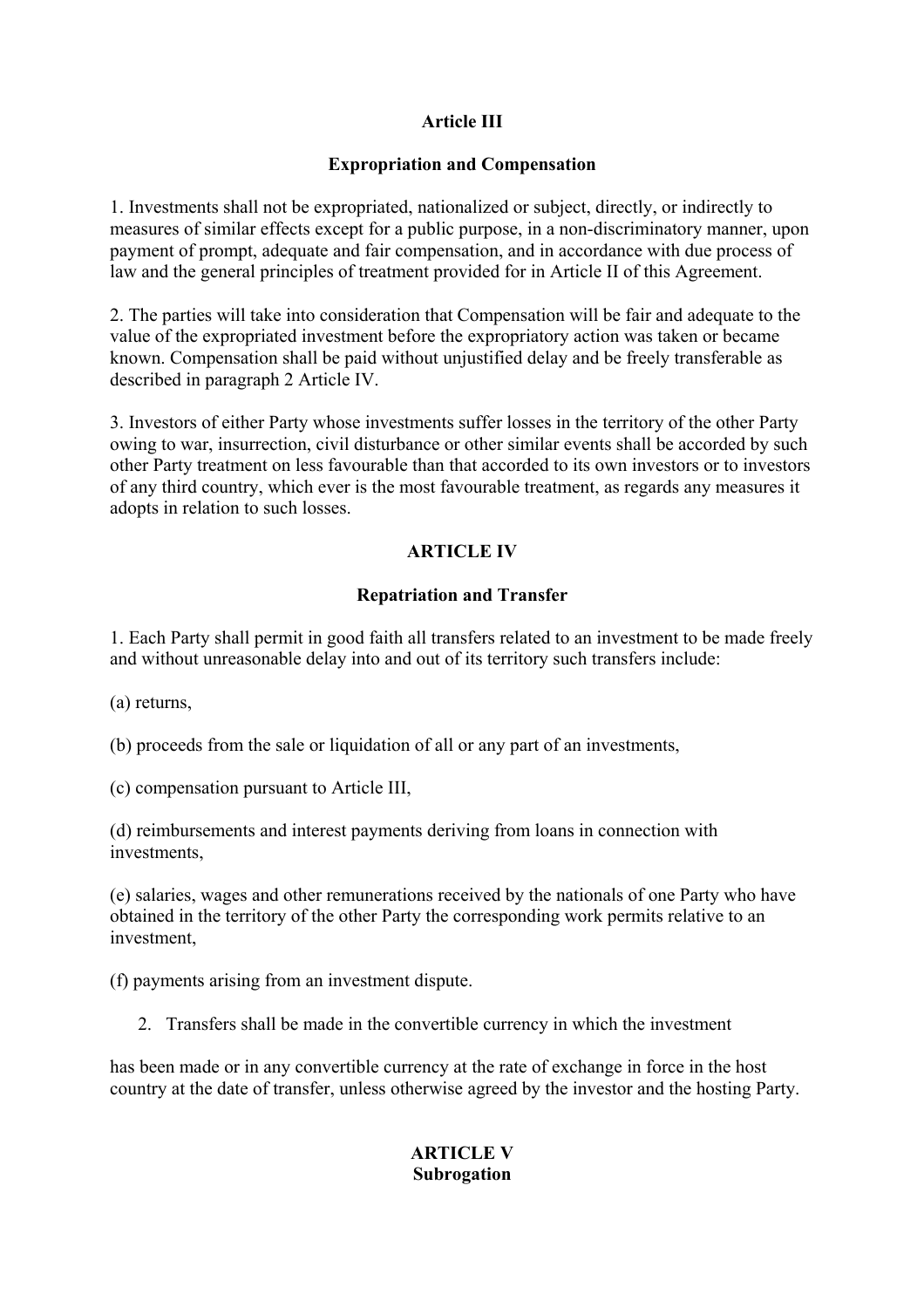# **Article III**

#### **Expropriation and Compensation**

1. Investments shall not be expropriated, nationalized or subject, directly, or indirectly to measures of similar effects except for a public purpose, in a non-discriminatory manner, upon payment of prompt, adequate and fair compensation, and in accordance with due process of law and the general principles of treatment provided for in Article II of this Agreement.

2. The parties will take into consideration that Compensation will be fair and adequate to the value of the expropriated investment before the expropriatory action was taken or became known. Compensation shall be paid without unjustified delay and be freely transferable as described in paragraph 2 Article IV.

3. Investors of either Party whose investments suffer losses in the territory of the other Party owing to war, insurrection, civil disturbance or other similar events shall be accorded by such other Party treatment on less favourable than that accorded to its own investors or to investors of any third country, which ever is the most favourable treatment, as regards any measures it adopts in relation to such losses.

# **ARTICLE IV**

# **Repatriation and Transfer**

1. Each Party shall permit in good faith all transfers related to an investment to be made freely and without unreasonable delay into and out of its territory such transfers include:

(a) returns,

(b) proceeds from the sale or liquidation of all or any part of an investments,

(c) compensation pursuant to Article III,

(d) reimbursements and interest payments deriving from loans in connection with investments,

(e) salaries, wages and other remunerations received by the nationals of one Party who have obtained in the territory of the other Party the corresponding work permits relative to an investment,

(f) payments arising from an investment dispute.

2. Transfers shall be made in the convertible currency in which the investment

has been made or in any convertible currency at the rate of exchange in force in the host country at the date of transfer, unless otherwise agreed by the investor and the hosting Party.

# **ARTICLE V Subrogation**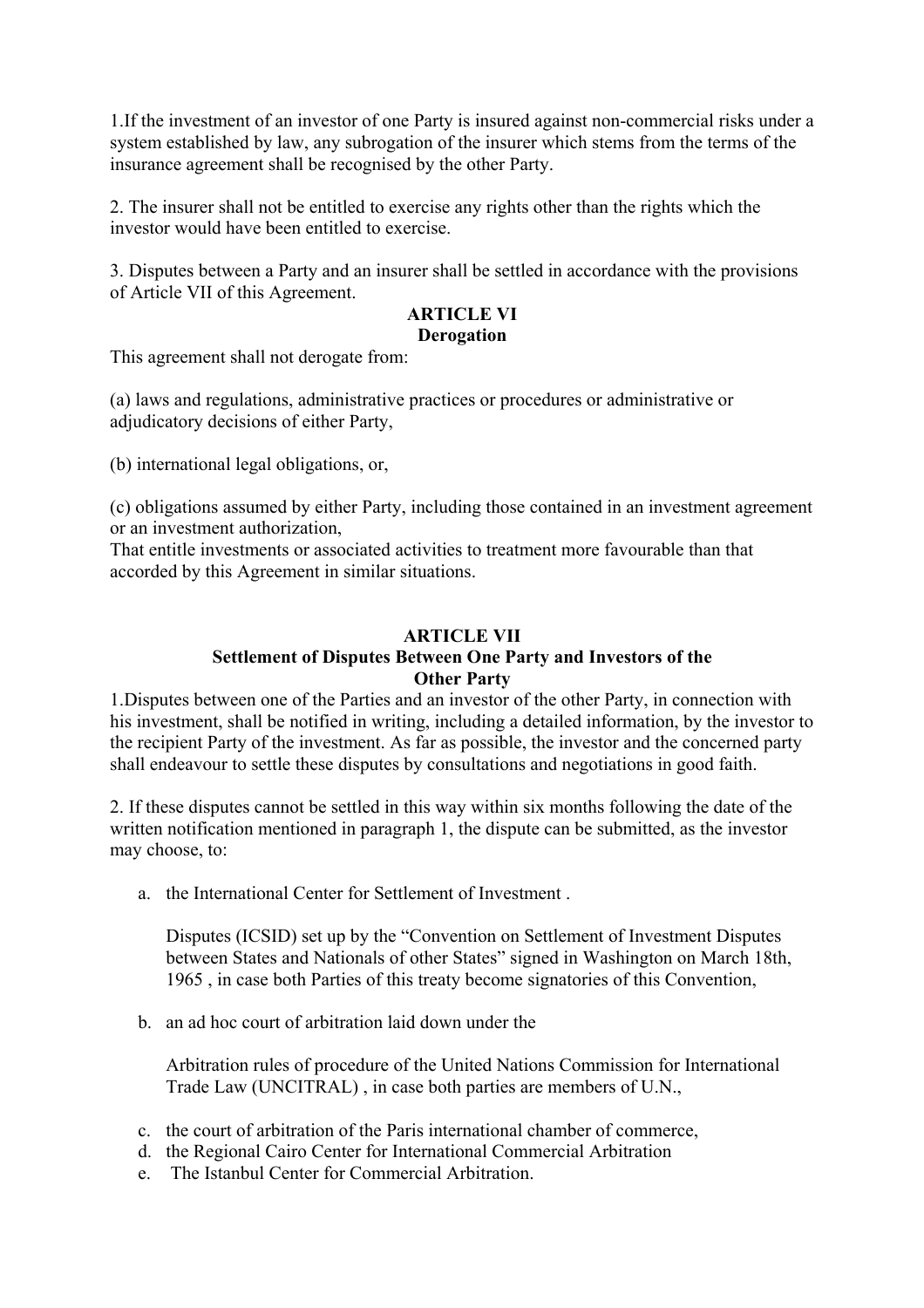1.If the investment of an investor of one Party is insured against non-commercial risks under a system established by law, any subrogation of the insurer which stems from the terms of the insurance agreement shall be recognised by the other Party.

2. The insurer shall not be entitled to exercise any rights other than the rights which the investor would have been entitled to exercise.

3. Disputes between a Party and an insurer shall be settled in accordance with the provisions of Article VII of this Agreement.

#### **ARTICLE VI Derogation**

This agreement shall not derogate from:

(a) laws and regulations, administrative practices or procedures or administrative or adjudicatory decisions of either Party,

(b) international legal obligations, or,

(c) obligations assumed by either Party, including those contained in an investment agreement or an investment authorization,

That entitle investments or associated activities to treatment more favourable than that accorded by this Agreement in similar situations.

# **ARTICLE VII**

#### **Settlement of Disputes Between One Party and Investors of the Other Party**

1.Disputes between one of the Parties and an investor of the other Party, in connection with his investment, shall be notified in writing, including a detailed information, by the investor to the recipient Party of the investment. As far as possible, the investor and the concerned party shall endeavour to settle these disputes by consultations and negotiations in good faith.

2. If these disputes cannot be settled in this way within six months following the date of the written notification mentioned in paragraph 1, the dispute can be submitted, as the investor may choose, to:

a. the International Center for Settlement of Investment .

Disputes (ICSID) set up by the "Convention on Settlement of Investment Disputes between States and Nationals of other States" signed in Washington on March 18th, 1965 , in case both Parties of this treaty become signatories of this Convention,

b. an ad hoc court of arbitration laid down under the

Arbitration rules of procedure of the United Nations Commission for International Trade Law (UNCITRAL) , in case both parties are members of U.N.,

- c. the court of arbitration of the Paris international chamber of commerce,
- d. the Regional Cairo Center for International Commercial Arbitration
- e. The Istanbul Center for Commercial Arbitration.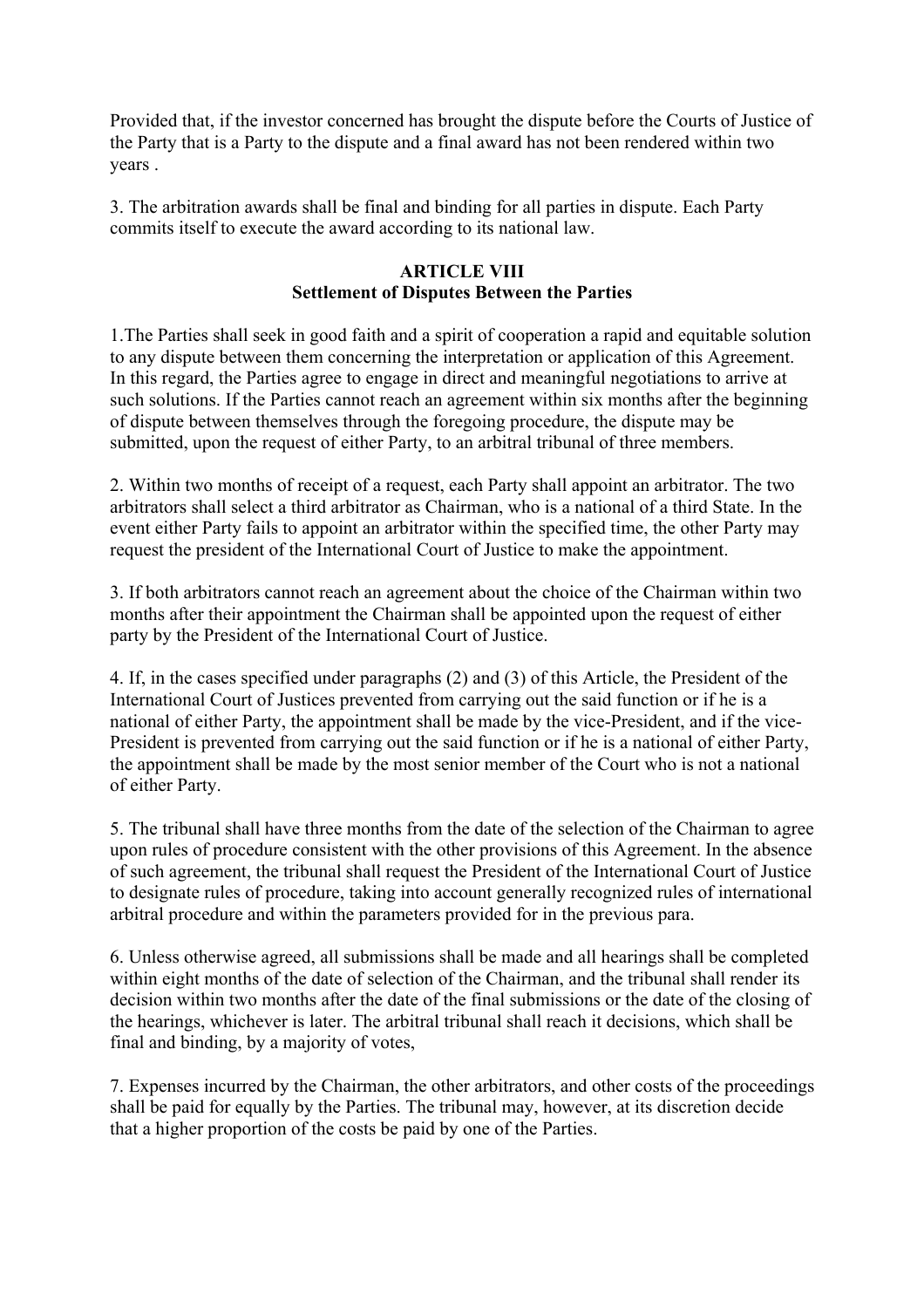Provided that, if the investor concerned has brought the dispute before the Courts of Justice of the Party that is a Party to the dispute and a final award has not been rendered within two years .

3. The arbitration awards shall be final and binding for all parties in dispute. Each Party commits itself to execute the award according to its national law.

### **ARTICLE VIII Settlement of Disputes Between the Parties**

1.The Parties shall seek in good faith and a spirit of cooperation a rapid and equitable solution to any dispute between them concerning the interpretation or application of this Agreement. In this regard, the Parties agree to engage in direct and meaningful negotiations to arrive at such solutions. If the Parties cannot reach an agreement within six months after the beginning of dispute between themselves through the foregoing procedure, the dispute may be submitted, upon the request of either Party, to an arbitral tribunal of three members.

2. Within two months of receipt of a request, each Party shall appoint an arbitrator. The two arbitrators shall select a third arbitrator as Chairman, who is a national of a third State. In the event either Party fails to appoint an arbitrator within the specified time, the other Party may request the president of the International Court of Justice to make the appointment.

3. If both arbitrators cannot reach an agreement about the choice of the Chairman within two months after their appointment the Chairman shall be appointed upon the request of either party by the President of the International Court of Justice.

4. If, in the cases specified under paragraphs (2) and (3) of this Article, the President of the International Court of Justices prevented from carrying out the said function or if he is a national of either Party, the appointment shall be made by the vice-President, and if the vice-President is prevented from carrying out the said function or if he is a national of either Party, the appointment shall be made by the most senior member of the Court who is not a national of either Party.

5. The tribunal shall have three months from the date of the selection of the Chairman to agree upon rules of procedure consistent with the other provisions of this Agreement. In the absence of such agreement, the tribunal shall request the President of the International Court of Justice to designate rules of procedure, taking into account generally recognized rules of international arbitral procedure and within the parameters provided for in the previous para.

6. Unless otherwise agreed, all submissions shall be made and all hearings shall be completed within eight months of the date of selection of the Chairman, and the tribunal shall render its decision within two months after the date of the final submissions or the date of the closing of the hearings, whichever is later. The arbitral tribunal shall reach it decisions, which shall be final and binding, by a majority of votes,

7. Expenses incurred by the Chairman, the other arbitrators, and other costs of the proceedings shall be paid for equally by the Parties. The tribunal may, however, at its discretion decide that a higher proportion of the costs be paid by one of the Parties.